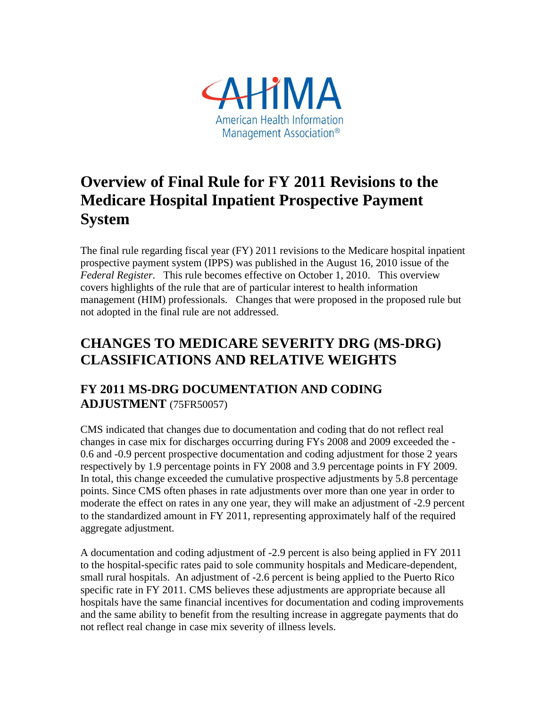

# **Overview of Final Rule for FY 2011 Revisions to the Medicare Hospital Inpatient Prospective Payment System**

The final rule regarding fiscal year (FY) 2011 revisions to the Medicare hospital inpatient prospective payment system (IPPS) was published in the August 16, 2010 issue of the *Federal Register*. This rule becomes effective on October 1, 2010. This overview covers highlights of the rule that are of particular interest to health information management (HIM) professionals. Changes that were proposed in the proposed rule but not adopted in the final rule are not addressed.

# **CHANGES TO MEDICARE SEVERITY DRG (MS-DRG) CLASSIFICATIONS AND RELATIVE WEIGHTS**

# **FY 2011 MS-DRG DOCUMENTATION AND CODING ADJUSTMENT** (75FR50057)

CMS indicated that changes due to documentation and coding that do not reflect real changes in case mix for discharges occurring during FYs 2008 and 2009 exceeded the - 0.6 and -0.9 percent prospective documentation and coding adjustment for those 2 years respectively by 1.9 percentage points in FY 2008 and 3.9 percentage points in FY 2009. In total, this change exceeded the cumulative prospective adjustments by 5.8 percentage points. Since CMS often phases in rate adjustments over more than one year in order to moderate the effect on rates in any one year, they will make an adjustment of -2.9 percent to the standardized amount in FY 2011, representing approximately half of the required aggregate adjustment.

A documentation and coding adjustment of -2.9 percent is also being applied in FY 2011 to the hospital-specific rates paid to sole community hospitals and Medicare-dependent, small rural hospitals. An adjustment of -2.6 percent is being applied to the Puerto Rico specific rate in FY 2011. CMS believes these adjustments are appropriate because all hospitals have the same financial incentives for documentation and coding improvements and the same ability to benefit from the resulting increase in aggregate payments that do not reflect real change in case mix severity of illness levels.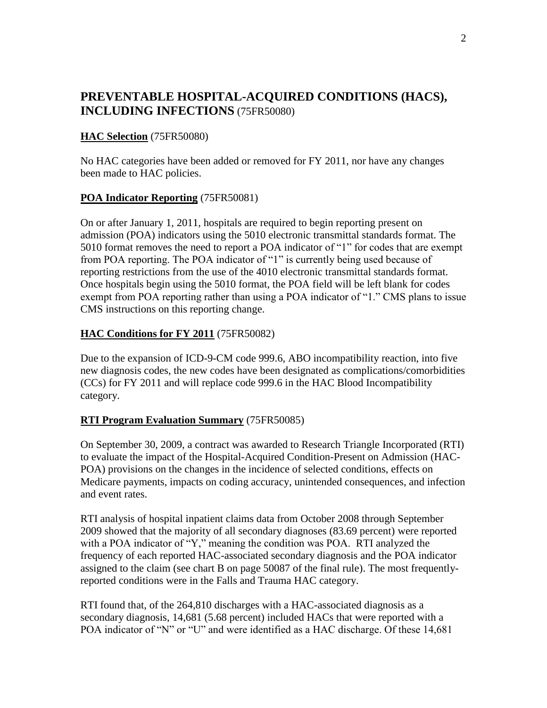## **PREVENTABLE HOSPITAL-ACQUIRED CONDITIONS (HACS), INCLUDING INFECTIONS** (75FR50080)

### **HAC Selection** (75FR50080)

No HAC categories have been added or removed for FY 2011, nor have any changes been made to HAC policies.

### **POA Indicator Reporting** (75FR50081)

On or after January 1, 2011, hospitals are required to begin reporting present on admission (POA) indicators using the 5010 electronic transmittal standards format. The 5010 format removes the need to report a POA indicator of "1" for codes that are exempt from POA reporting. The POA indicator of "1" is currently being used because of reporting restrictions from the use of the 4010 electronic transmittal standards format. Once hospitals begin using the 5010 format, the POA field will be left blank for codes exempt from POA reporting rather than using a POA indicator of "1." CMS plans to issue CMS instructions on this reporting change.

### **HAC Conditions for FY 2011** (75FR50082)

Due to the expansion of ICD-9-CM code 999.6, ABO incompatibility reaction, into five new diagnosis codes, the new codes have been designated as complications/comorbidities (CCs) for FY 2011 and will replace code 999.6 in the HAC Blood Incompatibility category.

### **RTI Program Evaluation Summary** (75FR50085)

On September 30, 2009, a contract was awarded to Research Triangle Incorporated (RTI) to evaluate the impact of the Hospital-Acquired Condition-Present on Admission (HAC-POA) provisions on the changes in the incidence of selected conditions, effects on Medicare payments, impacts on coding accuracy, unintended consequences, and infection and event rates.

RTI analysis of hospital inpatient claims data from October 2008 through September 2009 showed that the majority of all secondary diagnoses (83.69 percent) were reported with a POA indicator of "Y," meaning the condition was POA. RTI analyzed the frequency of each reported HAC-associated secondary diagnosis and the POA indicator assigned to the claim (see chart B on page 50087 of the final rule). The most frequentlyreported conditions were in the Falls and Trauma HAC category.

RTI found that, of the 264,810 discharges with a HAC-associated diagnosis as a secondary diagnosis, 14,681 (5.68 percent) included HACs that were reported with a POA indicator of "N" or "U" and were identified as a HAC discharge. Of these 14,681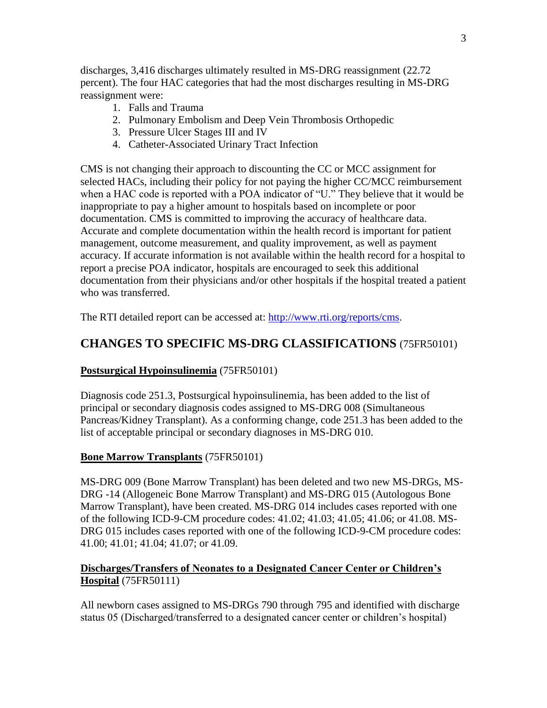discharges, 3,416 discharges ultimately resulted in MS-DRG reassignment (22.72 percent). The four HAC categories that had the most discharges resulting in MS-DRG reassignment were:

- 1. Falls and Trauma
- 2. Pulmonary Embolism and Deep Vein Thrombosis Orthopedic
- 3. Pressure Ulcer Stages III and IV
- 4. Catheter-Associated Urinary Tract Infection

CMS is not changing their approach to discounting the CC or MCC assignment for selected HACs, including their policy for not paying the higher CC/MCC reimbursement when a HAC code is reported with a POA indicator of "U." They believe that it would be inappropriate to pay a higher amount to hospitals based on incomplete or poor documentation. CMS is committed to improving the accuracy of healthcare data. Accurate and complete documentation within the health record is important for patient management, outcome measurement, and quality improvement, as well as payment accuracy. If accurate information is not available within the health record for a hospital to report a precise POA indicator, hospitals are encouraged to seek this additional documentation from their physicians and/or other hospitals if the hospital treated a patient who was transferred.

The RTI detailed report can be accessed at: [http://www.rti.org/reports/cms.](http://www.rti.org/reports/cms)

# **CHANGES TO SPECIFIC MS-DRG CLASSIFICATIONS** (75FR50101)

### **Postsurgical Hypoinsulinemia** (75FR50101)

Diagnosis code 251.3, Postsurgical hypoinsulinemia, has been added to the list of principal or secondary diagnosis codes assigned to MS-DRG 008 (Simultaneous Pancreas/Kidney Transplant). As a conforming change, code 251.3 has been added to the list of acceptable principal or secondary diagnoses in MS-DRG 010.

### **Bone Marrow Transplants** (75FR50101)

MS-DRG 009 (Bone Marrow Transplant) has been deleted and two new MS-DRGs, MS-DRG -14 (Allogeneic Bone Marrow Transplant) and MS-DRG 015 (Autologous Bone Marrow Transplant), have been created. MS-DRG 014 includes cases reported with one of the following ICD-9-CM procedure codes: 41.02; 41.03; 41.05; 41.06; or 41.08. MS-DRG 015 includes cases reported with one of the following ICD-9-CM procedure codes: 41.00; 41.01; 41.04; 41.07; or 41.09.

### **Discharges/Transfers of Neonates to a Designated Cancer Center or Children's Hospital** (75FR50111)

All newborn cases assigned to MS-DRGs 790 through 795 and identified with discharge status 05 (Discharged/transferred to a designated cancer center or children's hospital)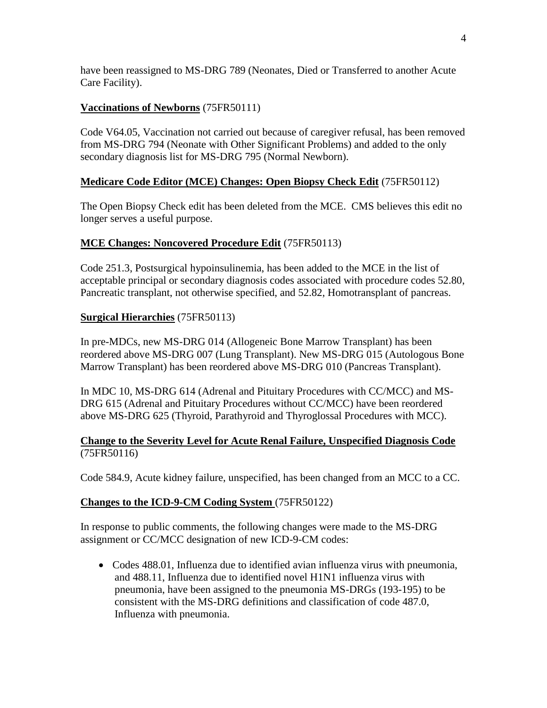have been reassigned to MS-DRG 789 (Neonates, Died or Transferred to another Acute Care Facility).

### **Vaccinations of Newborns** (75FR50111)

Code V64.05, Vaccination not carried out because of caregiver refusal, has been removed from MS-DRG 794 (Neonate with Other Significant Problems) and added to the only secondary diagnosis list for MS-DRG 795 (Normal Newborn).

### **Medicare Code Editor (MCE) Changes: Open Biopsy Check Edit** (75FR50112)

The Open Biopsy Check edit has been deleted from the MCE. CMS believes this edit no longer serves a useful purpose.

### **MCE Changes: Noncovered Procedure Edit** (75FR50113)

Code 251.3, Postsurgical hypoinsulinemia, has been added to the MCE in the list of acceptable principal or secondary diagnosis codes associated with procedure codes 52.80, Pancreatic transplant, not otherwise specified, and 52.82, Homotransplant of pancreas.

### **Surgical Hierarchies** (75FR50113)

In pre-MDCs, new MS-DRG 014 (Allogeneic Bone Marrow Transplant) has been reordered above MS-DRG 007 (Lung Transplant). New MS-DRG 015 (Autologous Bone Marrow Transplant) has been reordered above MS-DRG 010 (Pancreas Transplant).

In MDC 10, MS-DRG 614 (Adrenal and Pituitary Procedures with CC/MCC) and MS-DRG 615 (Adrenal and Pituitary Procedures without CC/MCC) have been reordered above MS-DRG 625 (Thyroid, Parathyroid and Thyroglossal Procedures with MCC).

### **Change to the Severity Level for Acute Renal Failure, Unspecified Diagnosis Code** (75FR50116)

Code 584.9, Acute kidney failure, unspecified, has been changed from an MCC to a CC.

#### **Changes to the ICD-9-CM Coding System** (75FR50122)

In response to public comments, the following changes were made to the MS-DRG assignment or CC/MCC designation of new ICD-9-CM codes:

 Codes 488.01, Influenza due to identified avian influenza virus with pneumonia, and 488.11, Influenza due to identified novel H1N1 influenza virus with pneumonia, have been assigned to the pneumonia MS-DRGs (193-195) to be consistent with the MS-DRG definitions and classification of code 487.0, Influenza with pneumonia.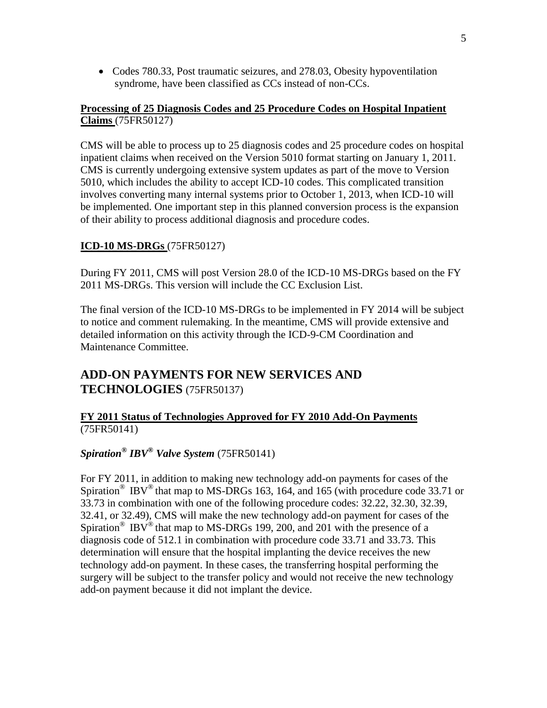Codes 780.33, Post traumatic seizures, and 278.03, Obesity hypoventilation syndrome, have been classified as CCs instead of non-CCs.

### **Processing of 25 Diagnosis Codes and 25 Procedure Codes on Hospital Inpatient Claims** (75FR50127)

CMS will be able to process up to 25 diagnosis codes and 25 procedure codes on hospital inpatient claims when received on the Version 5010 format starting on January 1, 2011. CMS is currently undergoing extensive system updates as part of the move to Version 5010, which includes the ability to accept ICD-10 codes. This complicated transition involves converting many internal systems prior to October 1, 2013, when ICD-10 will be implemented. One important step in this planned conversion process is the expansion of their ability to process additional diagnosis and procedure codes.

### **ICD-10 MS-DRGs** (75FR50127)

During FY 2011, CMS will post Version 28.0 of the ICD-10 MS-DRGs based on the FY 2011 MS-DRGs. This version will include the CC Exclusion List.

The final version of the ICD-10 MS-DRGs to be implemented in FY 2014 will be subject to notice and comment rulemaking. In the meantime, CMS will provide extensive and detailed information on this activity through the ICD-9-CM Coordination and Maintenance Committee.

## **ADD-ON PAYMENTS FOR NEW SERVICES AND TECHNOLOGIES** (75FR50137)

### **FY 2011 Status of Technologies Approved for FY 2010 Add-On Payments** (75FR50141)

### *Spiration® IBV® Valve System* (75FR50141)

For FY 2011, in addition to making new technology add-on payments for cases of the Spiration<sup>®</sup> IBV<sup>®</sup> that map to MS-DRGs 163, 164, and 165 (with procedure code 33.71 or 33.73 in combination with one of the following procedure codes: 32.22, 32.30, 32.39, 32.41, or 32.49), CMS will make the new technology add-on payment for cases of the Spiration<sup>®</sup> IBV<sup>®</sup> that map to MS-DRGs 199, 200, and 201 with the presence of a diagnosis code of 512.1 in combination with procedure code 33.71 and 33.73. This determination will ensure that the hospital implanting the device receives the new technology add-on payment. In these cases, the transferring hospital performing the surgery will be subject to the transfer policy and would not receive the new technology add-on payment because it did not implant the device.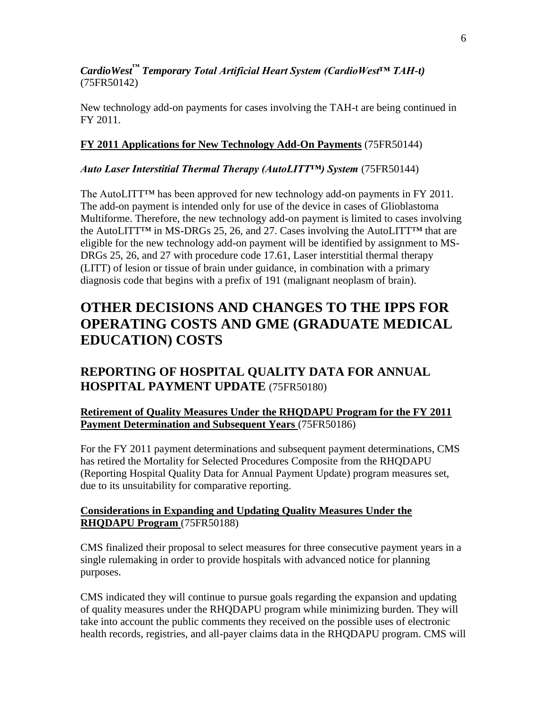### *CardioWest™ Temporary Total Artificial Heart System (CardioWest™ TAH-t)*  (75FR50142)

New technology add-on payments for cases involving the TAH-t are being continued in FY 2011.

### **FY 2011 Applications for New Technology Add-On Payments** (75FR50144)

### *Auto Laser Interstitial Thermal Therapy (AutoLITT™) System* (75FR50144)

The AutoLITT™ has been approved for new technology add-on payments in FY 2011. The add-on payment is intended only for use of the device in cases of Glioblastoma Multiforme. Therefore, the new technology add-on payment is limited to cases involving the AutoLITT<sup>M</sup> in MS-DRGs 25, 26, and 27. Cases involving the AutoLITT<sup>M</sup> that are eligible for the new technology add-on payment will be identified by assignment to MS-DRGs 25, 26, and 27 with procedure code 17.61, Laser interstitial thermal therapy (LITT) of lesion or tissue of brain under guidance, in combination with a primary diagnosis code that begins with a prefix of 191 (malignant neoplasm of brain).

# **OTHER DECISIONS AND CHANGES TO THE IPPS FOR OPERATING COSTS AND GME (GRADUATE MEDICAL EDUCATION) COSTS**

# **REPORTING OF HOSPITAL QUALITY DATA FOR ANNUAL HOSPITAL PAYMENT UPDATE** (75FR50180)

### **Retirement of Quality Measures Under the RHQDAPU Program for the FY 2011 Payment Determination and Subsequent Years** (75FR50186)

For the FY 2011 payment determinations and subsequent payment determinations, CMS has retired the Mortality for Selected Procedures Composite from the RHQDAPU (Reporting Hospital Quality Data for Annual Payment Update) program measures set, due to its unsuitability for comparative reporting.

### **Considerations in Expanding and Updating Quality Measures Under the RHQDAPU Program** (75FR50188)

CMS finalized their proposal to select measures for three consecutive payment years in a single rulemaking in order to provide hospitals with advanced notice for planning purposes.

CMS indicated they will continue to pursue goals regarding the expansion and updating of quality measures under the RHQDAPU program while minimizing burden. They will take into account the public comments they received on the possible uses of electronic health records, registries, and all-payer claims data in the RHQDAPU program. CMS will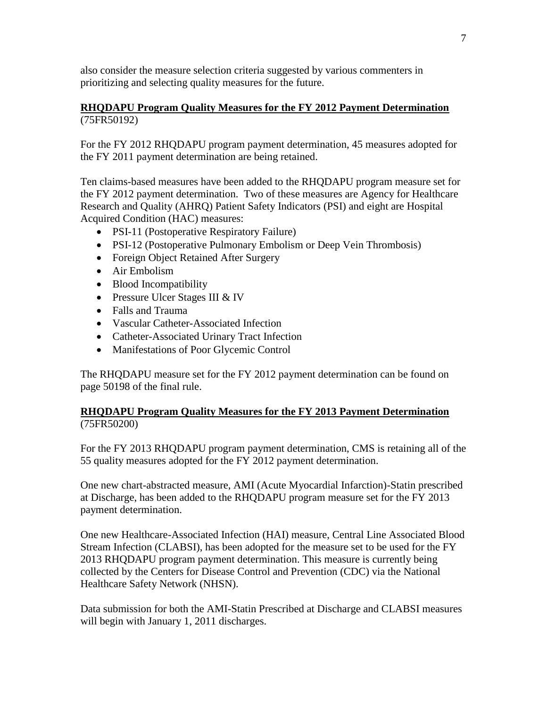also consider the measure selection criteria suggested by various commenters in prioritizing and selecting quality measures for the future.

### **RHQDAPU Program Quality Measures for the FY 2012 Payment Determination** (75FR50192)

For the FY 2012 RHQDAPU program payment determination, 45 measures adopted for the FY 2011 payment determination are being retained.

Ten claims-based measures have been added to the RHQDAPU program measure set for the FY 2012 payment determination. Two of these measures are Agency for Healthcare Research and Quality (AHRQ) Patient Safety Indicators (PSI) and eight are Hospital Acquired Condition (HAC) measures:

- PSI-11 (Postoperative Respiratory Failure)
- PSI-12 (Postoperative Pulmonary Embolism or Deep Vein Thrombosis)
- Foreign Object Retained After Surgery
- Air Embolism
- Blood Incompatibility
- Pressure Ulcer Stages III & IV
- Falls and Trauma
- Vascular Catheter-Associated Infection
- Catheter-Associated Urinary Tract Infection
- Manifestations of Poor Glycemic Control

The RHQDAPU measure set for the FY 2012 payment determination can be found on page 50198 of the final rule.

#### **RHQDAPU Program Quality Measures for the FY 2013 Payment Determination** (75FR50200)

For the FY 2013 RHQDAPU program payment determination, CMS is retaining all of the 55 quality measures adopted for the FY 2012 payment determination.

One new chart-abstracted measure, AMI (Acute Myocardial Infarction)-Statin prescribed at Discharge, has been added to the RHQDAPU program measure set for the FY 2013 payment determination.

One new Healthcare-Associated Infection (HAI) measure, Central Line Associated Blood Stream Infection (CLABSI), has been adopted for the measure set to be used for the FY 2013 RHQDAPU program payment determination. This measure is currently being collected by the Centers for Disease Control and Prevention (CDC) via the National Healthcare Safety Network (NHSN).

Data submission for both the AMI-Statin Prescribed at Discharge and CLABSI measures will begin with January 1, 2011 discharges.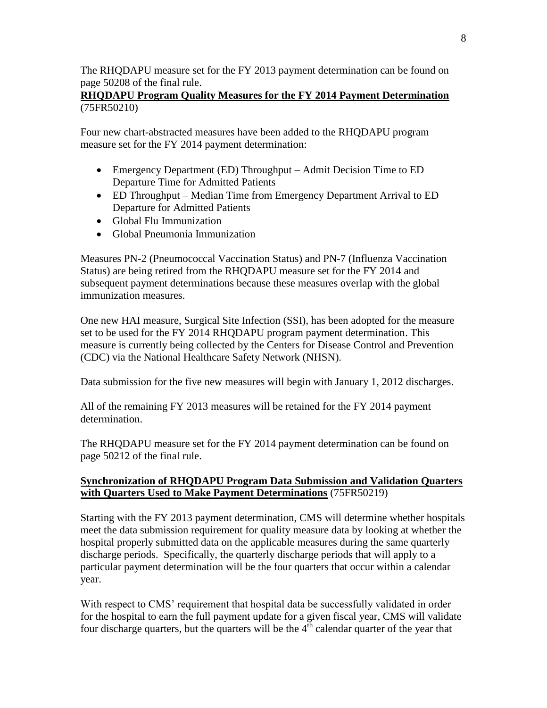The RHQDAPU measure set for the FY 2013 payment determination can be found on page 50208 of the final rule.

### **RHQDAPU Program Quality Measures for the FY 2014 Payment Determination** (75FR50210)

Four new chart-abstracted measures have been added to the RHQDAPU program measure set for the FY 2014 payment determination:

- Emergency Department (ED) Throughput Admit Decision Time to ED Departure Time for Admitted Patients
- ED Throughput Median Time from Emergency Department Arrival to ED Departure for Admitted Patients
- Global Flu Immunization
- Global Pneumonia Immunization

Measures PN-2 (Pneumococcal Vaccination Status) and PN-7 (Influenza Vaccination Status) are being retired from the RHQDAPU measure set for the FY 2014 and subsequent payment determinations because these measures overlap with the global immunization measures.

One new HAI measure, Surgical Site Infection (SSI), has been adopted for the measure set to be used for the FY 2014 RHQDAPU program payment determination. This measure is currently being collected by the Centers for Disease Control and Prevention (CDC) via the National Healthcare Safety Network (NHSN).

Data submission for the five new measures will begin with January 1, 2012 discharges.

All of the remaining FY 2013 measures will be retained for the FY 2014 payment determination.

The RHQDAPU measure set for the FY 2014 payment determination can be found on page 50212 of the final rule.

### **Synchronization of RHQDAPU Program Data Submission and Validation Quarters with Quarters Used to Make Payment Determinations** (75FR50219)

Starting with the FY 2013 payment determination, CMS will determine whether hospitals meet the data submission requirement for quality measure data by looking at whether the hospital properly submitted data on the applicable measures during the same quarterly discharge periods. Specifically, the quarterly discharge periods that will apply to a particular payment determination will be the four quarters that occur within a calendar year.

With respect to CMS' requirement that hospital data be successfully validated in order for the hospital to earn the full payment update for a given fiscal year, CMS will validate four discharge quarters, but the quarters will be the  $4<sup>th</sup>$  calendar quarter of the year that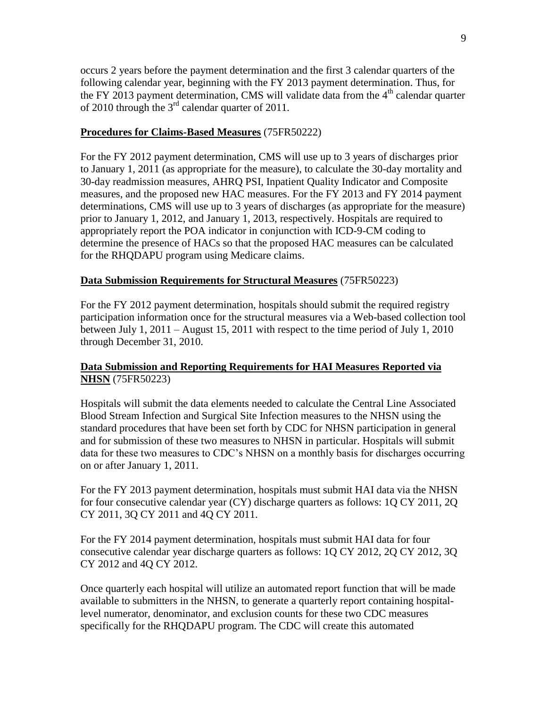occurs 2 years before the payment determination and the first 3 calendar quarters of the following calendar year, beginning with the FY 2013 payment determination. Thus, for the FY 2013 payment determination, CMS will validate data from the  $4<sup>th</sup>$  calendar quarter of 2010 through the 3rd calendar quarter of 2011.

### **Procedures for Claims-Based Measures** (75FR50222)

For the FY 2012 payment determination, CMS will use up to 3 years of discharges prior to January 1, 2011 (as appropriate for the measure), to calculate the 30-day mortality and 30-day readmission measures, AHRQ PSI, Inpatient Quality Indicator and Composite measures, and the proposed new HAC measures. For the FY 2013 and FY 2014 payment determinations, CMS will use up to 3 years of discharges (as appropriate for the measure) prior to January 1, 2012, and January 1, 2013, respectively. Hospitals are required to appropriately report the POA indicator in conjunction with ICD-9-CM coding to determine the presence of HACs so that the proposed HAC measures can be calculated for the RHQDAPU program using Medicare claims.

### **Data Submission Requirements for Structural Measures** (75FR50223)

For the FY 2012 payment determination, hospitals should submit the required registry participation information once for the structural measures via a Web-based collection tool between July 1, 2011 – August 15, 2011 with respect to the time period of July 1, 2010 through December 31, 2010.

### **Data Submission and Reporting Requirements for HAI Measures Reported via NHSN** (75FR50223)

Hospitals will submit the data elements needed to calculate the Central Line Associated Blood Stream Infection and Surgical Site Infection measures to the NHSN using the standard procedures that have been set forth by CDC for NHSN participation in general and for submission of these two measures to NHSN in particular. Hospitals will submit data for these two measures to CDC's NHSN on a monthly basis for discharges occurring on or after January 1, 2011.

For the FY 2013 payment determination, hospitals must submit HAI data via the NHSN for four consecutive calendar year (CY) discharge quarters as follows: 1Q CY 2011, 2Q CY 2011, 3Q CY 2011 and 4Q CY 2011.

For the FY 2014 payment determination, hospitals must submit HAI data for four consecutive calendar year discharge quarters as follows: 1Q CY 2012, 2Q CY 2012, 3Q CY 2012 and 4Q CY 2012.

Once quarterly each hospital will utilize an automated report function that will be made available to submitters in the NHSN, to generate a quarterly report containing hospitallevel numerator, denominator, and exclusion counts for these two CDC measures specifically for the RHQDAPU program. The CDC will create this automated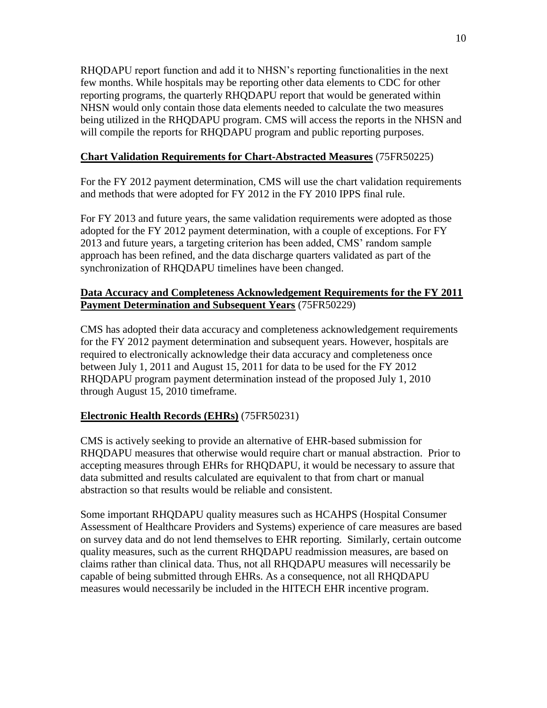RHQDAPU report function and add it to NHSN's reporting functionalities in the next few months. While hospitals may be reporting other data elements to CDC for other reporting programs, the quarterly RHQDAPU report that would be generated within NHSN would only contain those data elements needed to calculate the two measures being utilized in the RHQDAPU program. CMS will access the reports in the NHSN and will compile the reports for RHQDAPU program and public reporting purposes.

### **Chart Validation Requirements for Chart-Abstracted Measures** (75FR50225)

For the FY 2012 payment determination, CMS will use the chart validation requirements and methods that were adopted for FY 2012 in the FY 2010 IPPS final rule.

For FY 2013 and future years, the same validation requirements were adopted as those adopted for the FY 2012 payment determination, with a couple of exceptions. For FY 2013 and future years, a targeting criterion has been added, CMS' random sample approach has been refined, and the data discharge quarters validated as part of the synchronization of RHQDAPU timelines have been changed.

### **Data Accuracy and Completeness Acknowledgement Requirements for the FY 2011 Payment Determination and Subsequent Years** (75FR50229)

CMS has adopted their data accuracy and completeness acknowledgement requirements for the FY 2012 payment determination and subsequent years. However, hospitals are required to electronically acknowledge their data accuracy and completeness once between July 1, 2011 and August 15, 2011 for data to be used for the FY 2012 RHQDAPU program payment determination instead of the proposed July 1, 2010 through August 15, 2010 timeframe.

### **Electronic Health Records (EHRs)** (75FR50231)

CMS is actively seeking to provide an alternative of EHR-based submission for RHQDAPU measures that otherwise would require chart or manual abstraction. Prior to accepting measures through EHRs for RHQDAPU, it would be necessary to assure that data submitted and results calculated are equivalent to that from chart or manual abstraction so that results would be reliable and consistent.

Some important RHQDAPU quality measures such as HCAHPS (Hospital Consumer Assessment of Healthcare Providers and Systems) experience of care measures are based on survey data and do not lend themselves to EHR reporting. Similarly, certain outcome quality measures, such as the current RHQDAPU readmission measures, are based on claims rather than clinical data. Thus, not all RHQDAPU measures will necessarily be capable of being submitted through EHRs. As a consequence, not all RHQDAPU measures would necessarily be included in the HITECH EHR incentive program.